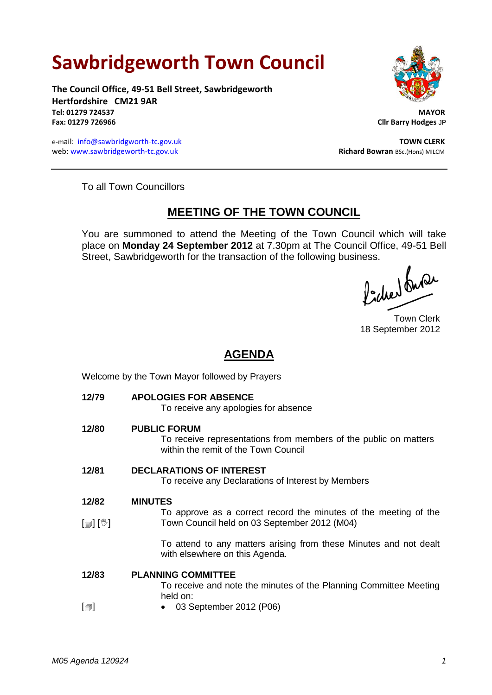# **Sawbridgeworth Town Council**

**The Council Office, 49-51 Bell Street, Sawbridgeworth Hertfordshire CM21 9AR Tel: 01279 724537 MAYOR Fax: 01279 726966 Cllr Barry Hodges** JP

e-mail: [info@sawbridgworth-tc.gov.uk](mailto:info@sawbridgworth-tc.gov.uk)<br>
web: www.sawbridgeworth-tc.gov.uk **TOWN CLERK**<br>
Richard Bowran BSc.(Hons) MILCM web: www.sawbridgeworth-tc.gov.uk



To all Town Councillors

## **MEETING OF THE TOWN COUNCIL**

You are summoned to attend the Meeting of the Town Council which will take place on **Monday 24 September 2012** at 7.30pm at The Council Office, 49-51 Bell Street, Sawbridgeworth for the transaction of the following business.<br>  $\int_{\mathbb{R}} \int \int \mathbf{h} \, d\mathbf{r}$ 

Town Clerk 18 September 2012

### **AGENDA**

Welcome by the Town Mayor followed by Prayers

**12/79 APOLOGIES FOR ABSENCE** To receive any apologies for absence **12/80 PUBLIC FORUM** To receive representations from members of the public on matters within the remit of the Town Council **12/81 DECLARATIONS OF INTEREST** To receive any Declarations of Interest by Members **12/82**  $[\mathbb{D}]$   $[\mathbb{V}]$ **MINUTES** To approve as a correct record the minutes of the meeting of the Town Council held on 03 September 2012 (M04) To attend to any matters arising from these Minutes and not dealt with elsewhere on this Agenda. **12/83**  $\lceil$  $\blacksquare$ **PLANNING COMMITTEE** To receive and note the minutes of the Planning Committee Meeting held on: 03 September 2012 (P06)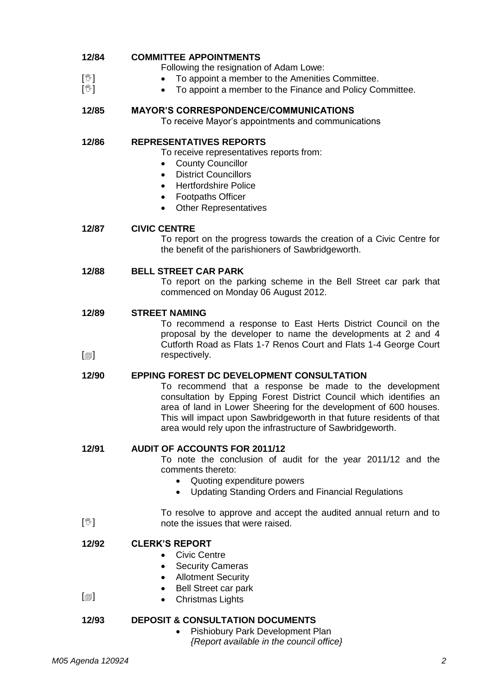| 12/84                                 | <b>COMMITTEE APPOINTMENTS</b>                                                                                                                                                                                                                                                                                                                                                                 |
|---------------------------------------|-----------------------------------------------------------------------------------------------------------------------------------------------------------------------------------------------------------------------------------------------------------------------------------------------------------------------------------------------------------------------------------------------|
| $[\mathbb{V}]$                        | Following the resignation of Adam Lowe:                                                                                                                                                                                                                                                                                                                                                       |
| $[\mathbb{V}]$                        | To appoint a member to the Amenities Committee.<br>To appoint a member to the Finance and Policy Committee.                                                                                                                                                                                                                                                                                   |
| 12/85                                 | <b>MAYOR'S CORRESPONDENCE/COMMUNICATIONS</b><br>To receive Mayor's appointments and communications                                                                                                                                                                                                                                                                                            |
| 12/86                                 | <b>REPRESENTATIVES REPORTS</b><br>To receive representatives reports from:<br><b>County Councillor</b><br><b>District Councillors</b><br>$\bullet$<br><b>Hertfordshire Police</b><br>$\bullet$<br><b>Footpaths Officer</b><br>$\bullet$<br><b>Other Representatives</b>                                                                                                                       |
| 12/87                                 | <b>CIVIC CENTRE</b><br>To report on the progress towards the creation of a Civic Centre for<br>the benefit of the parishioners of Sawbridgeworth.                                                                                                                                                                                                                                             |
| 12/88                                 | <b>BELL STREET CAR PARK</b><br>To report on the parking scheme in the Bell Street car park that<br>commenced on Monday 06 August 2012.                                                                                                                                                                                                                                                        |
| 12/89<br>$\lceil \circledcirc \rceil$ | <b>STREET NAMING</b><br>To recommend a response to East Herts District Council on the<br>proposal by the developer to name the developments at 2 and 4<br>Cutforth Road as Flats 1-7 Renos Court and Flats 1-4 George Court<br>respectively.                                                                                                                                                  |
| 12/90                                 | <b>EPPING FOREST DC DEVELOPMENT CONSULTATION</b><br>To recommend that a response be made to the development<br>consultation by Epping Forest District Council which identifies an<br>area of land in Lower Sheering for the development of 600 houses.<br>This will impact upon Sawbridgeworth in that future residents of that<br>area would rely upon the infrastructure of Sawbridgeworth. |
| 12/91                                 | <b>AUDIT OF ACCOUNTS FOR 2011/12</b><br>To note the conclusion of audit for the year 2011/12 and the<br>comments thereto:<br>Quoting expenditure powers<br>٠<br><b>Updating Standing Orders and Financial Regulations</b><br>$\bullet$                                                                                                                                                        |
| $[\mathbb{V}]$                        | To resolve to approve and accept the audited annual return and to<br>note the issues that were raised.                                                                                                                                                                                                                                                                                        |
| 12/92<br>$\lbrack \oplus \rbrack$     | <b>CLERK'S REPORT</b><br><b>Civic Centre</b><br><b>Security Cameras</b><br>٠<br><b>Allotment Security</b><br>$\bullet$<br><b>Bell Street car park</b><br><b>Christmas Lights</b><br>٠                                                                                                                                                                                                         |
| 12/93                                 | <b>DEPOSIT &amp; CONSULTATION DOCUMENTS</b><br>Pishiobury Park Development Plan<br>$\bullet$<br>{Report available in the council office}                                                                                                                                                                                                                                                      |